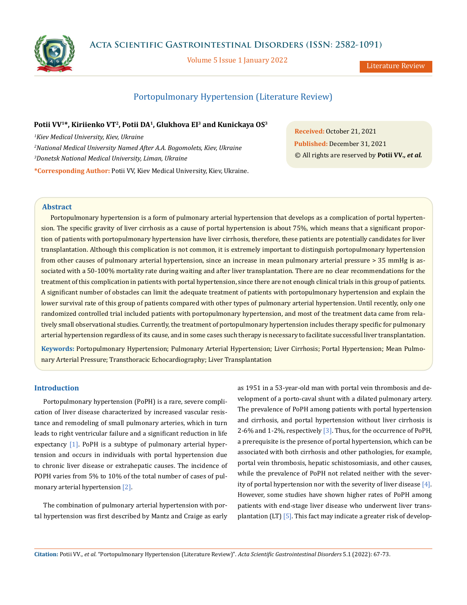

**Acta Scientific Gastrointestinal Disorders (ISSN: 2582-1091)**

Volume 5 Issue 1 January 2022

Literature Review

# Portopulmonary Hypertension (Literature Review)

#### **Potii VV1\*, Kiriienko VT2, Potii DA1, Glukhova EI3 and Kunickaya OS3**

 *Kiev Medical University, Kiev, Ukraine National Medical University Named After A.A. Bogomolets, Kiev, Ukraine Donetsk National Medical University, Liman, Ukraine* **\*Corresponding Author:** Potii VV, Kiev Medical University, Kiev, Ukraine.

**Received:** October 21, 2021 **Published:** December 31, 2021 © All rights are reserved by **Potii VV***., et al.*

## **Abstract**

Portopulmonary hypertension is a form of pulmonary arterial hypertension that develops as a complication of portal hypertension. The specific gravity of liver cirrhosis as a cause of portal hypertension is about 75%, which means that a significant proportion of patients with portopulmonary hypertension have liver cirrhosis, therefore, these patients are potentially candidates for liver transplantation. Although this complication is not common, it is extremely important to distinguish portopulmonary hypertension from other causes of pulmonary arterial hypertension, since an increase in mean pulmonary arterial pressure > 35 mmHg is associated with a 50-100% mortality rate during waiting and after liver transplantation. There are no clear recommendations for the treatment of this complication in patients with portal hypertension, since there are not enough clinical trials in this group of patients. A significant number of obstacles can limit the adequate treatment of patients with portopulmonary hypertension and explain the lower survival rate of this group of patients compared with other types of pulmonary arterial hypertension. Until recently, only one randomized controlled trial included patients with portopulmonary hypertension, and most of the treatment data came from relatively small observational studies. Currently, the treatment of portopulmonary hypertension includes therapy specific for pulmonary arterial hypertension regardless of its cause, and in some cases such therapy is necessary to facilitate successful liver transplantation.

**Keywords:** Portopulmonary Hypertension; Pulmonary Arterial Hypertension; Liver Cirrhosis; Portal Hypertension; Mean Pulmonary Arterial Pressure; Transthoracic Echocardiography; Liver Transplantation

## **Introduction**

Portopulmonary hypertension (PoPH) is a rare, severe complication of liver disease characterized by increased vascular resistance and remodeling of small pulmonary arteries, which in turn leads to right ventricular failure and a significant reduction in life expectancy [1]. PoPH is a subtype of pulmonary arterial hypertension and occurs in individuals with portal hypertension due to chronic liver disease or extrahepatic causes. The incidence of POPH varies from 5% to 10% of the total number of cases of pulmonary arterial hypertension [2].

The combination of pulmonary arterial hypertension with portal hypertension was first described by Mantz and Craige as early as 1951 in a 53-year-old man with portal vein thrombosis and development of a porto-caval shunt with a dilated pulmonary artery. The prevalence of PoPH among patients with portal hypertension and cirrhosis, and portal hypertension without liver cirrhosis is 2-6% and 1-2%, respectively [3]. Thus, for the occurrence of PoPH, a prerequisite is the presence of portal hypertension, which can be associated with both cirrhosis and other pathologies, for example, portal vein thrombosis, hepatic schistosomiasis, and other causes, while the prevalence of PoPH not related neither with the severity of portal hypertension nor with the severity of liver disease [4]. However, some studies have shown higher rates of PoPH among patients with end-stage liver disease who underwent liver transplantation (LT) [5]. This fact may indicate a greater risk of develop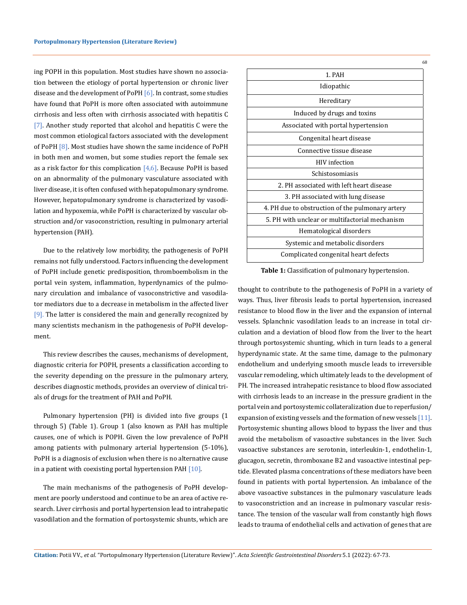ing POPH in this population. Most studies have shown no association between the etiology of portal hypertension or chronic liver disease and the development of PoPH  $[6]$ . In contrast, some studies have found that PoPH is more often associated with autoimmune cirrhosis and less often with cirrhosis associated with hepatitis C [7]. Another study reported that alcohol and hepatitis C were the most common etiological factors associated with the development of PoPH [8]. Most studies have shown the same incidence of PoPH in both men and women, but some studies report the female sex as a risk factor for this complication  $[4,6]$ . Because PoPH is based on an abnormality of the pulmonary vasculature associated with liver disease, it is often confused with hepatopulmonary syndrome. However, hepatopulmonary syndrome is characterized by vasodilation and hypoxemia, while PoPH is characterized by vascular obstruction and/or vasoconstriction, resulting in pulmonary arterial hypertension (PAH).

Due to the relatively low morbidity, the pathogenesis of PoPH remains not fully understood. Factors influencing the development of PoPH include genetic predisposition, thromboembolism in the portal vein system, inflammation, hyperdynamics of the pulmonary circulation and imbalance of vasoconstrictive and vasodilator mediators due to a decrease in metabolism in the affected liver [9]. The latter is considered the main and generally recognized by many scientists mechanism in the pathogenesis of PoPH development.

This review describes the causes, mechanisms of development, diagnostic criteria for POPH, presents a classification according to the severity depending on the pressure in the pulmonary artery, describes diagnostic methods, provides an overview of clinical trials of drugs for the treatment of PAH and PoPH.

Pulmonary hypertension (PH) is divided into five groups (1 through 5) (Table 1). Group 1 (also known as PAH has multiple causes, one of which is POPH. Given the low prevalence of PoPH among patients with pulmonary arterial hypertension (5-10%), PoPH is a diagnosis of exclusion when there is no alternative cause in a patient with coexisting portal hypertension PAH  $[10]$ .

The main mechanisms of the pathogenesis of PoPH development are poorly understood and continue to be an area of active research. Liver cirrhosis and portal hypertension lead to intrahepatic vasodilation and the formation of portosystemic shunts, which are

**Table 1:** Classification of pulmonary hypertension.

thought to contribute to the pathogenesis of PoPH in a variety of ways. Thus, liver fibrosis leads to portal hypertension, increased resistance to blood flow in the liver and the expansion of internal vessels. Splanchnic vasodilation leads to an increase in total circulation and a deviation of blood flow from the liver to the heart through portosystemic shunting, which in turn leads to a general hyperdynamic state. At the same time, damage to the pulmonary endothelium and underlying smooth muscle leads to irreversible vascular remodeling, which ultimately leads to the development of PH. The increased intrahepatic resistance to blood flow associated with cirrhosis leads to an increase in the pressure gradient in the portal vein and portosystemic collateralization due to reperfusion/ expansion of existing vessels and the formation of new vessels [11]. Portosystemic shunting allows blood to bypass the liver and thus avoid the metabolism of vasoactive substances in the liver. Such vasoactive substances are serotonin, interleukin-1, endothelin-1, glucagon, secretin, thromboxane B2 and vasoactive intestinal peptide. Elevated plasma concentrations of these mediators have been found in patients with portal hypertension. An imbalance of the above vasoactive substances in the pulmonary vasculature leads to vasoconstriction and an increase in pulmonary vascular resistance. The tension of the vascular wall from constantly high flows leads to trauma of endothelial cells and activation of genes that are

**Citation:** Potii VV*., et al.* "Portopulmonary Hypertension (Literature Review)". *Acta Scientific Gastrointestinal Disorders* 5.1 (2022): 67-73.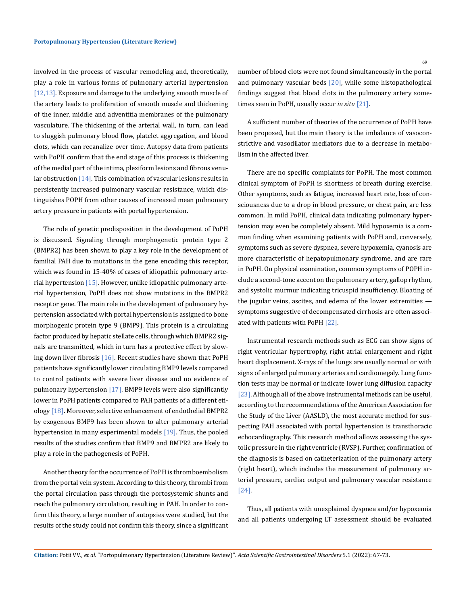involved in the process of vascular remodeling and, theoretically, play a role in various forms of pulmonary arterial hypertension [12,13]. Exposure and damage to the underlying smooth muscle of the artery leads to proliferation of smooth muscle and thickening of the inner, middle and adventitia membranes of the pulmonary vasculature. The thickening of the arterial wall, in turn, can lead to sluggish pulmonary blood flow, platelet aggregation, and blood clots, which can recanalize over time. Autopsy data from patients with PoPH confirm that the end stage of this process is thickening of the medial part of the intima, plexiform lesions and fibrous venular obstruction  $[14]$ . This combination of vascular lesions results in persistently increased pulmonary vascular resistance, which distinguishes POPH from other causes of increased mean pulmonary artery pressure in patients with portal hypertension.

The role of genetic predisposition in the development of PoPH is discussed. Signaling through morphogenetic protein type 2 (BMPR2) has been shown to play a key role in the development of familial PAH due to mutations in the gene encoding this receptor, which was found in 15-40% of cases of idiopathic pulmonary arterial hypertension [15]. However, unlike idiopathic pulmonary arterial hypertension, PoPH does not show mutations in the BMPR2 receptor gene. The main role in the development of pulmonary hypertension associated with portal hypertension is assigned to bone morphogenic protein type 9 (BMP9). This protein is a circulating factor produced by hepatic stellate cells, through which BMPR2 signals are transmitted, which in turn has a protective effect by slowing down liver fibrosis [16]. Recent studies have shown that PoPH patients have significantly lower circulating BMP9 levels compared to control patients with severe liver disease and no evidence of pulmonary hypertension [17]. BMP9 levels were also significantly lower in PoPH patients compared to PAH patients of a different etiology [18]. Moreover, selective enhancement of endothelial BMPR2 by exogenous BMP9 has been shown to alter pulmonary arterial hypertension in many experimental models [19]. Thus, the pooled results of the studies confirm that BMP9 and BMPR2 are likely to play a role in the pathogenesis of PoPH.

Another theory for the occurrence of PoPH is thromboembolism from the portal vein system. According to this theory, thrombi from the portal circulation pass through the portosystemic shunts and reach the pulmonary circulation, resulting in PAH. In order to confirm this theory, a large number of autopsies were studied, but the results of the study could not confirm this theory, since a significant number of blood clots were not found simultaneously in the portal and pulmonary vascular beds [20], while some histopathological findings suggest that blood clots in the pulmonary artery sometimes seen in PoPH, usually occur *in situ* [21].

A sufficient number of theories of the occurrence of PoPH have been proposed, but the main theory is the imbalance of vasoconstrictive and vasodilator mediators due to a decrease in metabolism in the affected liver.

There are no specific complaints for PoPH. The most common clinical symptom of PoPH is shortness of breath during exercise. Other symptoms, such as fatigue, increased heart rate, loss of consciousness due to a drop in blood pressure, or chest pain, are less common. In mild PoPH, clinical data indicating pulmonary hypertension may even be completely absent. Mild hypoxemia is a common finding when examining patients with PoPH and, conversely, symptoms such as severe dyspnea, severe hypoxemia, cyanosis are more characteristic of hepatopulmonary syndrome, and are rare in PoPH. On physical examination, common symptoms of POPH include a second-tone accent on the pulmonary artery, gallop rhythm, and systolic murmur indicating tricuspid insufficiency. Bloating of the jugular veins, ascites, and edema of the lower extremities symptoms suggestive of decompensated cirrhosis are often associated with patients with PoPH [22].

Instrumental research methods such as ECG can show signs of right ventricular hypertrophy, right atrial enlargement and right heart displacement. X-rays of the lungs are usually normal or with signs of enlarged pulmonary arteries and cardiomegaly. Lung function tests may be normal or indicate lower lung diffusion capacity [23]. Although all of the above instrumental methods can be useful, according to the recommendations of the American Association for the Study of the Liver (AASLD), the most accurate method for suspecting PAH associated with portal hypertension is transthoracic echocardiography. This research method allows assessing the systolic pressure in the right ventricle (RVSP). Further, confirmation of the diagnosis is based on catheterization of the pulmonary artery (right heart), which includes the measurement of pulmonary arterial pressure, cardiac output and pulmonary vascular resistance [24].

Thus, all patients with unexplained dyspnea and/or hypoxemia and all patients undergoing LT assessment should be evaluated

69

**Citation:** Potii VV*., et al.* "Portopulmonary Hypertension (Literature Review)". *Acta Scientific Gastrointestinal Disorders* 5.1 (2022): 67-73.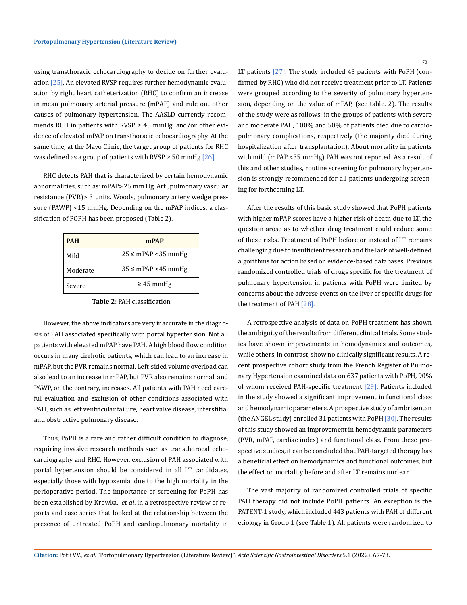using transthoracic echocardiography to decide on further evaluation [25]. An elevated RVSP requires further hemodynamic evaluation by right heart catheterization (RHC) to confirm an increase in mean pulmonary arterial pressure (mPAP) and rule out other causes of pulmonary hypertension. The AASLD currently recommends RCH in patients with RVSP  $\geq$  45 mmHg. and/or other evidence of elevated mPAP on transthoracic echocardiography. At the same time, at the Mayo Clinic, the target group of patients for RHC was defined as a group of patients with RVSP  $\geq$  50 mmHg [26].

RHC detects PAH that is characterized by certain hemodynamic abnormalities, such as: mPAP> 25 mm Hg. Art., pulmonary vascular resistance (PVR)> 3 units. Woods, pulmonary artery wedge pressure (PAWP) <15 mmHg. Depending on the mPAP indices, a classification of POPH has been proposed (Table 2).

| <b>PAH</b> | mPAP                    |
|------------|-------------------------|
| Mild       | $25 \le mPAP < 35 mmHg$ |
| Moderate   | $35 \le mPAP < 45 mmHg$ |
| Severe     | $\geq 45$ mmHg          |

**Table 2**: PAH classification.

However, the above indicators are very inaccurate in the diagnosis of PAH associated specifically with portal hypertension. Not all patients with elevated mPAP have PAH. A high blood flow condition occurs in many cirrhotic patients, which can lead to an increase in mPAP, but the PVR remains normal. Left-sided volume overload can also lead to an increase in mPAP, but PVR also remains normal, and PAWP, on the contrary, increases. All patients with PAH need careful evaluation and exclusion of other conditions associated with PAH, such as left ventricular failure, heart valve disease, interstitial and obstructive pulmonary disease.

Thus, PoPH is a rare and rather difficult condition to diagnose, requiring invasive research methods such as transthorocal echocardiography and RHC. However, exclusion of PAH associated with portal hypertension should be considered in all LT candidates, especially those with hypoxemia, due to the high mortality in the perioperative period. The importance of screening for PoPH has been established by Krowka., *et al*. in a retrospective review of reports and case series that looked at the relationship between the presence of untreated PoPH and cardiopulmonary mortality in

LT patients [27]. The study included 43 patients with PoPH (confirmed by RHC) who did not receive treatment prior to LT. Patients were grouped according to the severity of pulmonary hypertension, depending on the value of mPAP, (see table. 2). The results of the study were as follows: in the groups of patients with severe and moderate PAH, 100% and 50% of patients died due to cardiopulmonary complications, respectively (the majority died during hospitalization after transplantation). About mortality in patients with mild (mPAP <35 mmHg) PAH was not reported. As a result of this and other studies, routine screening for pulmonary hypertension is strongly recommended for all patients undergoing screening for forthcoming LT.

After the results of this basic study showed that PoPH patients with higher mPAP scores have a higher risk of death due to LT, the question arose as to whether drug treatment could reduce some of these risks. Treatment of PoPH before or instead of LT remains challenging due to insufficient research and the lack of well-defined algorithms for action based on evidence-based databases. Previous randomized controlled trials of drugs specific for the treatment of pulmonary hypertension in patients with PoPH were limited by concerns about the adverse events on the liver of specific drugs for the treatment of PAH [28].

A retrospective analysis of data on PoPH treatment has shown the ambiguity of the results from different clinical trials. Some studies have shown improvements in hemodynamics and outcomes, while others, in contrast, show no clinically significant results. A recent prospective cohort study from the French Register of Pulmonary Hypertension examined data on 637 patients with PoPH, 90% of whom received PAH-specific treatment [29]. Patients included in the study showed a significant improvement in functional class and hemodynamic parameters. A prospective study of ambrisentan (the ANGEL study) enrolled 31 patients with PoPH [30]. The results of this study showed an improvement in hemodynamic parameters (PVR, mPAP, cardiac index) and functional class. From these prospective studies, it can be concluded that PAH-targeted therapy has a beneficial effect on hemodynamics and functional outcomes, but the effect on mortality before and after LT remains unclear.

The vast majority of randomized controlled trials of specific PAH therapy did not include PoPH patients. An exception is the PATENT-1 study, which included 443 patients with PAH of different etiology in Group 1 (see Table 1). All patients were randomized to

**Citation:** Potii VV*., et al.* "Portopulmonary Hypertension (Literature Review)". *Acta Scientific Gastrointestinal Disorders* 5.1 (2022): 67-73.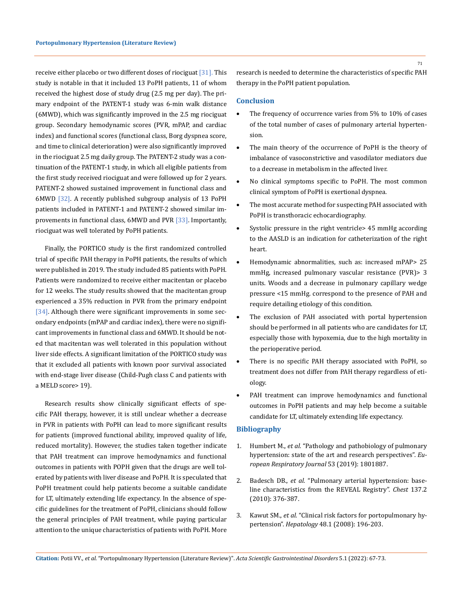receive either placebo or two different doses of riociguat [31]. This study is notable in that it included 13 PoPH patients, 11 of whom received the highest dose of study drug (2.5 mg per day). The primary endpoint of the PATENT-1 study was 6-min walk distance (6MWD), which was significantly improved in the 2.5 mg riociguat group. Secondary hemodynamic scores (PVR, mPAP, and cardiac index) and functional scores (functional class, Borg dyspnea score, and time to clinical deterioration) were also significantly improved in the riociguat 2.5 mg daily group. The PATENT-2 study was a continuation of the PATENT-1 study, in which all eligible patients from the first study received riociguat and were followed up for 2 years. PATENT-2 showed sustained improvement in functional class and 6MWD [32]. A recently published subgroup analysis of 13 PoPH patients included in PATENT-1 and PATENT-2 showed similar improvements in functional class, 6MWD and PVR [33]. Importantly, riociguat was well tolerated by PoPH patients.

Finally, the PORTICO study is the first randomized controlled trial of specific PAH therapy in PoPH patients, the results of which were published in 2019. The study included 85 patients with PoPH. Patients were randomized to receive either macitentan or placebo for 12 weeks. The study results showed that the macitentan group experienced a 35% reduction in PVR from the primary endpoint [34]. Although there were significant improvements in some secondary endpoints (mPAP and cardiac index), there were no significant improvements in functional class and 6MWD. It should be noted that macitentan was well tolerated in this population without liver side effects. A significant limitation of the PORTICO study was that it excluded all patients with known poor survival associated with end-stage liver disease (Child-Pugh class C and patients with a MELD score> 19).

Research results show clinically significant effects of specific PAH therapy, however, it is still unclear whether a decrease in PVR in patients with PoPH can lead to more significant results for patients (improved functional ability, improved quality of life, reduced mortality). However, the studies taken together indicate that PAH treatment can improve hemodynamics and functional outcomes in patients with POPH given that the drugs are well tolerated by patients with liver disease and PoPH. It is speculated that PoPH treatment could help patients become a suitable candidate for LT, ultimately extending life expectancy. In the absence of specific guidelines for the treatment of PoPH, clinicians should follow the general principles of PAH treatment, while paying particular attention to the unique characteristics of patients with PoPH. More

research is needed to determine the characteristics of specific PAH therapy in the PoPH patient population.

#### **Conclusion**

- The frequency of occurrence varies from 5% to 10% of cases of the total number of cases of pulmonary arterial hypertension.
- The main theory of the occurrence of PoPH is the theory of imbalance of vasoconstrictive and vasodilator mediators due to a decrease in metabolism in the affected liver.
- No clinical symptoms specific to PoPH. The most common clinical symptom of PoPH is exertional dyspnea.
- The most accurate method for suspecting PAH associated with PoPH is transthoracic echocardiography.
- Systolic pressure in the right ventricle> 45 mmHg according to the AASLD is an indication for catheterization of the right heart.
- Hemodynamic abnormalities, such as: increased mPAP> 25 mmHg, increased pulmonary vascular resistance (PVR)> 3 units. Woods and a decrease in pulmonary capillary wedge pressure <15 mmHg. correspond to the presence of PAH and require detailing etiology of this condition.
- The exclusion of PAH associated with portal hypertension should be performed in all patients who are candidates for LT, especially those with hypoxemia, due to the high mortality in the perioperative period.
- There is no specific PAH therapy associated with PoPH, so treatment does not differ from PAH therapy regardless of etiology.
- PAH treatment can improve hemodynamics and functional outcomes in PoPH patients and may help become a suitable candidate for LT, ultimately extending life expectancy.

### **Bibliography**

- 1. Humbert M., *et al.* ["Pathology and pathobiology of pulmonary](https://erj.ersjournals.com/content/53/1/1801887)  [hypertension: state of the art and research perspectives".](https://erj.ersjournals.com/content/53/1/1801887) *Eu[ropean Respiratory Journal](https://erj.ersjournals.com/content/53/1/1801887)* 53 (2019): 1801887.
- 2. Badesch DB., *et al.* ["Pulmonary arterial hypertension: base](https://pubmed.ncbi.nlm.nih.gov/19837821/)[line characteristics from the REVEAL Registry".](https://pubmed.ncbi.nlm.nih.gov/19837821/) *Chest* 137.2 [\(2010\): 376-387.](https://pubmed.ncbi.nlm.nih.gov/19837821/)
- 3. Kawut SM., *et al.* ["Clinical risk factors for portopulmonary hy](https://pubmed.ncbi.nlm.nih.gov/18537192/)pertension". *Hepatology* [48.1 \(2008\): 196-203.](https://pubmed.ncbi.nlm.nih.gov/18537192/)

71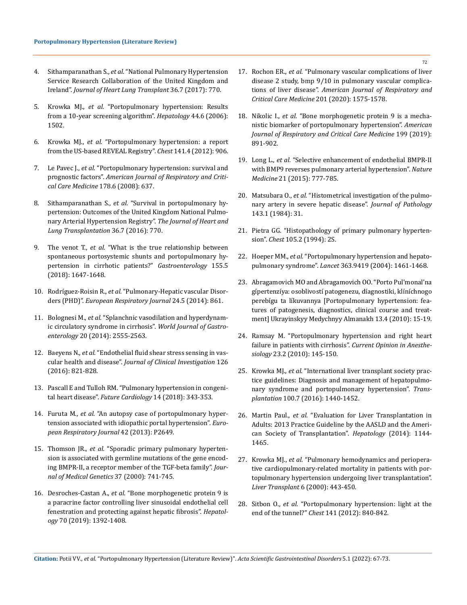- 4. Sithamparanathan S., *et al.* "National Pulmonary Hypertension Service Research Collaboration of the United Kingdom and Ireland". *Journal of Heart Lung Transplant* 36.7 (2017): 770.
- 5. Krowka MJ., *et al.* ["Portopulmonary hypertension: Results](https://pubmed.ncbi.nlm.nih.gov/17133488/)  [from a 10-year screening algorithm".](https://pubmed.ncbi.nlm.nih.gov/17133488/) *Hepatology* 44.6 (2006): [1502.](https://pubmed.ncbi.nlm.nih.gov/17133488/)
- 6. Krowka MJ., *et al.* ["Portopulmonary hypertension: a report](https://pubmed.ncbi.nlm.nih.gov/21778257/)  [from the US-based REVEAL Registry".](https://pubmed.ncbi.nlm.nih.gov/21778257/) *Chest* 141.4 (2012): 906.
- 7. Le Pavec J., *et al.* ["Portopulmonary hypertension: survival and](https://pubmed.ncbi.nlm.nih.gov/18617641/)  prognostic factors". *[American Journal of Respiratory and Criti](https://pubmed.ncbi.nlm.nih.gov/18617641/)[cal Care Medicine](https://pubmed.ncbi.nlm.nih.gov/18617641/)* 178.6 (2008): 637.
- 8. Sithamparanathan S., *et al.* ["Survival in portopulmonary hy](https://www.sciencedirect.com/science/article/abs/pii/S1053249816304934)[pertension: Outcomes of the United Kingdom National Pulmo](https://www.sciencedirect.com/science/article/abs/pii/S1053249816304934)[nary Arterial Hypertension Registry".](https://www.sciencedirect.com/science/article/abs/pii/S1053249816304934) *The Journal of Heart and [Lung Transplantation](https://www.sciencedirect.com/science/article/abs/pii/S1053249816304934)* 36.7 (2016): 770.
- 9. The venot T., *et al.* ["What is the true relationship between](https://www.gastrojournal.org/article/S0016-5085(18)34878-9/fulltext)  [spontaneous portosystemic shunts and portopulmonary hy](https://www.gastrojournal.org/article/S0016-5085(18)34878-9/fulltext)[pertension in cirrhotic patients?"](https://www.gastrojournal.org/article/S0016-5085(18)34878-9/fulltext) *Gastroenterology* 155.5 [\(2018\): 1647-1648.](https://www.gastrojournal.org/article/S0016-5085(18)34878-9/fulltext)
- 10. Rodríguez-Roisin R., *et al.* ["Pulmonary-Hepatic vascular Disor](https://erj.ersjournals.com/content/24/5/861)ders (PHD)". *[European Respiratory Journal](https://erj.ersjournals.com/content/24/5/861)* 24.5 (2014): 861.
- 11. Bolognesi M., *et al.* ["Splanchnic vasodilation and hyperdynam](https://pubmed.ncbi.nlm.nih.gov/24627591/)[ic circulatory syndrome in cirrhosis".](https://pubmed.ncbi.nlm.nih.gov/24627591/) *World Journal of Gastroenterology* [20 \(2014\): 2555-2563.](https://pubmed.ncbi.nlm.nih.gov/24627591/)
- 12. Baeyens N., *et al.* ["Endothelial fluid shear stress sensing in vas](https://pubmed.ncbi.nlm.nih.gov/26928035/)cular health and disease". *[Journal of Clinical Investigation](https://pubmed.ncbi.nlm.nih.gov/26928035/)* 126 [\(2016\): 821-828.](https://pubmed.ncbi.nlm.nih.gov/26928035/)
- 13. [Pascall E and Tulloh RM. "Pulmonary hypertension in congeni](https://www.ncbi.nlm.nih.gov/pmc/articles/PMC6136120/)tal heart disease". *[Future Cardiology](https://www.ncbi.nlm.nih.gov/pmc/articles/PMC6136120/)* 14 (2018): 343-353.
- 14. Furuta M., *et al.* ["An autopsy case of portopulmonary hyper](https://erj.ersjournals.com/content/42/Suppl_57/P2649)[tension associated with idiopathic portal hypertension".](https://erj.ersjournals.com/content/42/Suppl_57/P2649) *Euro[pean Respiratory Journal](https://erj.ersjournals.com/content/42/Suppl_57/P2649)* 42 (2013): P2649.
- 15. Thomson JR., *et al.* ["Sporadic primary pulmonary hyperten](https://pubmed.ncbi.nlm.nih.gov/11015450/)[sion is associated with germline mutations of the gene encod](https://pubmed.ncbi.nlm.nih.gov/11015450/)[ing BMPR-II, a receptor member of the TGF-beta family".](https://pubmed.ncbi.nlm.nih.gov/11015450/) *Jour[nal of Medical Genetics](https://pubmed.ncbi.nlm.nih.gov/11015450/)* 37 (2000): 741-745.
- 16. Desroches-Castan A., *et al.* ["Bone morphogenetic protein 9 is](https://aasldpubs.onlinelibrary.wiley.com/doi/abs/10.1002/hep.30655)  [a paracrine factor controlling liver sinusoidal endothelial cell](https://aasldpubs.onlinelibrary.wiley.com/doi/abs/10.1002/hep.30655)  [fenestration and protecting against hepatic fibrosis".](https://aasldpubs.onlinelibrary.wiley.com/doi/abs/10.1002/hep.30655) *Hepatology* [70 \(2019\): 1392-1408.](https://aasldpubs.onlinelibrary.wiley.com/doi/abs/10.1002/hep.30655)
- 17. Rochon ER., *et al.* "Pulmonary vascular complications of liver disease 2 study, bmp 9/10 in pulmonary vascular complications of liver disease". *American Journal of Respiratory and Critical Care Medicine* 201 (2020): 1575-1578.
- 18. Nikolic I., *et al.* ["Bone morphogenetic protein 9 is a mecha](https://pubmed.ncbi.nlm.nih.gov/30312106/)[nistic biomarker of portopulmonary hypertension".](https://pubmed.ncbi.nlm.nih.gov/30312106/) *American [Journal of Respiratory and Critical Care Medicine](https://pubmed.ncbi.nlm.nih.gov/30312106/)* 199 (2019): [891-902.](https://pubmed.ncbi.nlm.nih.gov/30312106/)
- 19. Long L., *et al.* ["Selective enhancement of endothelial BMPR-II](https://pubmed.ncbi.nlm.nih.gov/26076038/)  [with BMP9 reverses pulmonary arterial hypertension".](https://pubmed.ncbi.nlm.nih.gov/26076038/) *Nature Medicine* [21 \(2015\): 777-785.](https://pubmed.ncbi.nlm.nih.gov/26076038/)
- 20. Matsubara O., *et al.* ["Histometrical investigation of the pulmo](https://pubmed.ncbi.nlm.nih.gov/6737114/)[nary artery in severe hepatic disease".](https://pubmed.ncbi.nlm.nih.gov/6737114/) *Journal of Pathology* [143.1 \(1984\): 31.](https://pubmed.ncbi.nlm.nih.gov/6737114/)
- 21. [Pietra GG. "Histopathology of primary pulmonary hyperten](https://www.ahajournals.org/doi/pdf/10.1161/01.CIR.80.5.1198)sion". *Chest* [105.2 \(1994\): 2S.](https://www.ahajournals.org/doi/pdf/10.1161/01.CIR.80.5.1198)
- 22. Hoeper MM., *et al.* ["Portopulmonary hypertension and hepato](https://www.ncbi.nlm.nih.gov/pmc/articles/PMC4081678/)pulmonary syndrome". *Lancet* [363.9419 \(2004\): 1461-1468.](https://www.ncbi.nlm.nih.gov/pmc/articles/PMC4081678/)
- 23. Abragamovich MO and Abragamovich OO. "Porto Pul'monal'na gípertenzíya: osoblivostí patogenezu, díagnostiki, klíníchnogo perebígu ta líkuvannya [Portopulmonary hypertension: features of patogenesis, diagnostics, clinical course and treatment] Ukrayinskyy Medychnyy Almanakh 13.4 (2010): 15-19.
- 24. [Ramsay M. "Portopulmonary hypertension and right heart](https://pubmed.ncbi.nlm.nih.gov/20124995/)  [failure in patients with cirrhosis".](https://pubmed.ncbi.nlm.nih.gov/20124995/) *Current Opinion in Anesthesiology* [23.2 \(2010\): 145-150.](https://pubmed.ncbi.nlm.nih.gov/20124995/)
- 25. Krowka MJ., *et al.* ["International liver transplant society prac](https://pubmed.ncbi.nlm.nih.gov/27326810/)[tice guidelines: Diagnosis and management of hepatopulmo](https://pubmed.ncbi.nlm.nih.gov/27326810/)[nary syndrome and portopulmonary hypertension".](https://pubmed.ncbi.nlm.nih.gov/27326810/) *Transplantation* [100.7 \(2016\): 1440-1452.](https://pubmed.ncbi.nlm.nih.gov/27326810/)
- 26. Martin Paul., *et al.* ["Evaluation for Liver Transplantation in](https://pubmed.ncbi.nlm.nih.gov/24716201/)  [Adults: 2013 Practice Guideline by the AASLD and the Ameri](https://pubmed.ncbi.nlm.nih.gov/24716201/)[can Society of Transplantation".](https://pubmed.ncbi.nlm.nih.gov/24716201/) *Hepatology* (2014): 1144- [1465.](https://pubmed.ncbi.nlm.nih.gov/24716201/)
- 27. Krowka MJ., *et al.* ["Pulmonary hemodynamics and periopera](https://pubmed.ncbi.nlm.nih.gov/10915166/)[tive cardiopulmonary-related mortality in patients with por](https://pubmed.ncbi.nlm.nih.gov/10915166/)[topulmonary hypertension undergoing liver transplantation".](https://pubmed.ncbi.nlm.nih.gov/10915166/)  *[Liver Transplant](https://pubmed.ncbi.nlm.nih.gov/10915166/)* 6 (2000): 443-450.
- 28. Sitbon O., *et al.* ["Portopulmonary hypertension: light at the](https://www.researchgate.net/publication/223986603_Portopulmonary_Hypertension_Light_at_the_End_of_the_Tunnel)  end of the tunnel?" *Chest* [141 \(2012\): 840-842.](https://www.researchgate.net/publication/223986603_Portopulmonary_Hypertension_Light_at_the_End_of_the_Tunnel)

72